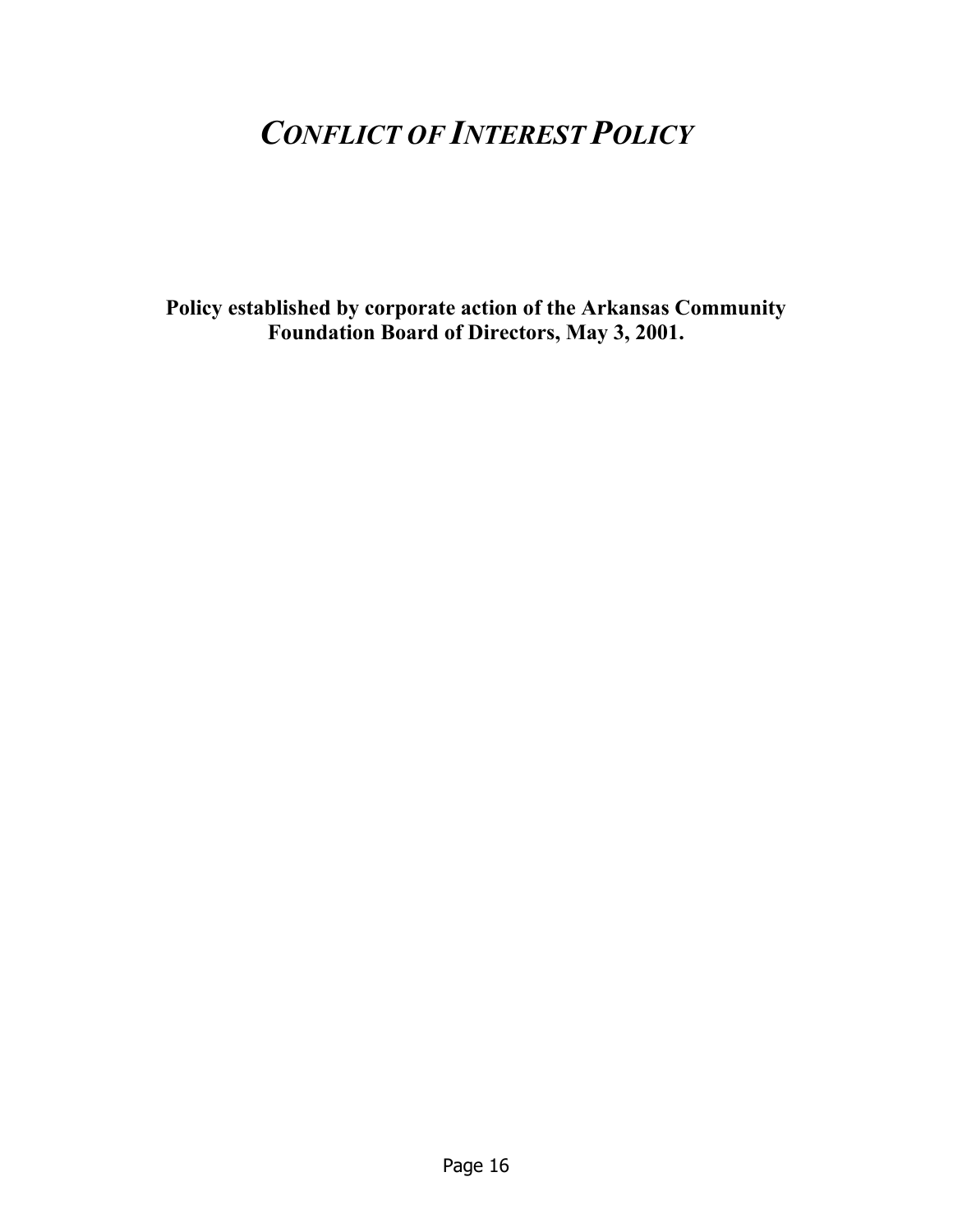# *CONFLICT OF INTEREST POLICY*

**Policy established by corporate action of the Arkansas Community Foundation Board of Directors, May 3, 2001.**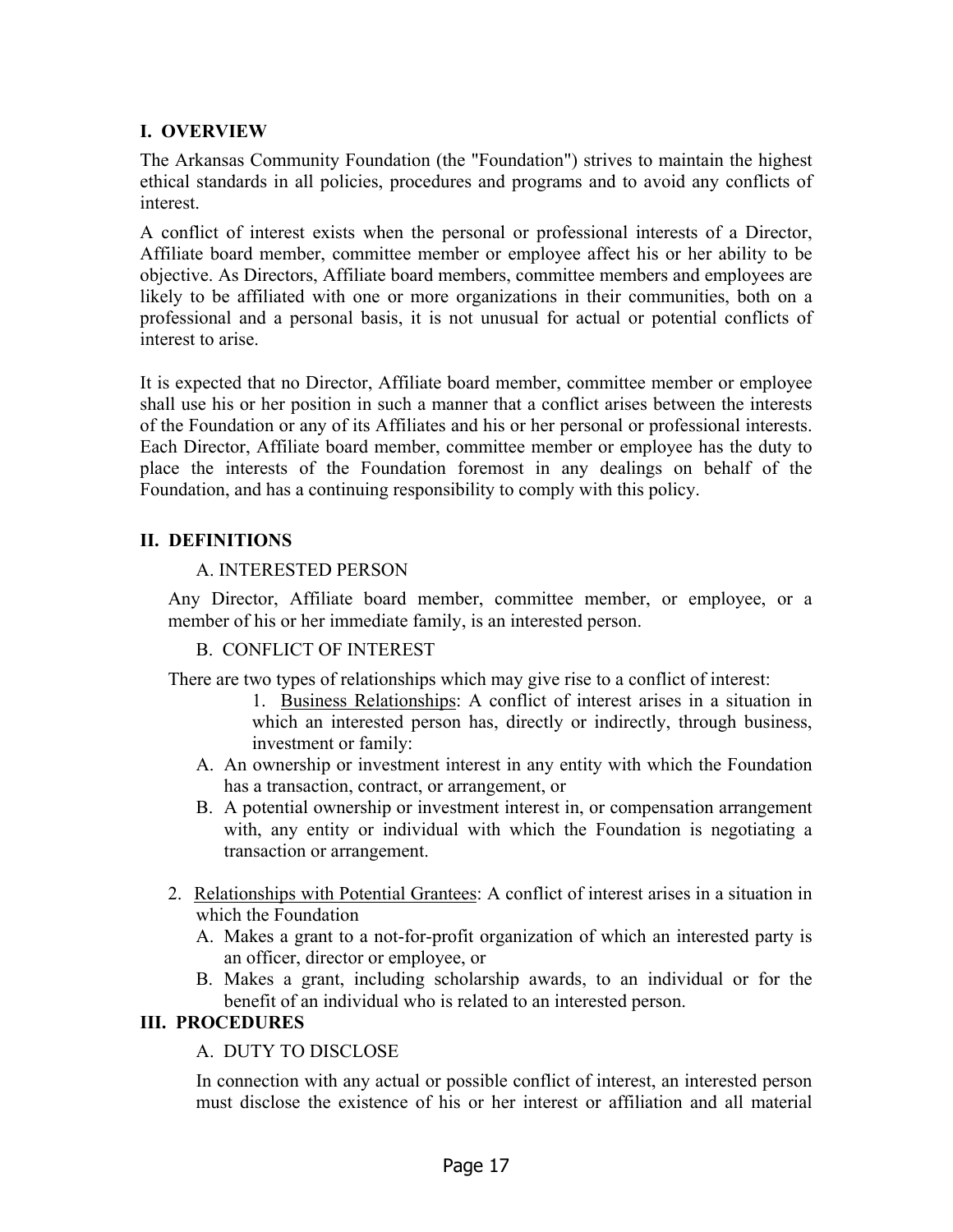# **I. OVERVIEW**

The Arkansas Community Foundation (the "Foundation") strives to maintain the highest ethical standards in all policies, procedures and programs and to avoid any conflicts of interest.

A conflict of interest exists when the personal or professional interests of a Director, Affiliate board member, committee member or employee affect his or her ability to be objective. As Directors, Affiliate board members, committee members and employees are likely to be affiliated with one or more organizations in their communities, both on a professional and a personal basis, it is not unusual for actual or potential conflicts of interest to arise.

It is expected that no Director, Affiliate board member, committee member or employee shall use his or her position in such a manner that a conflict arises between the interests of the Foundation or any of its Affiliates and his or her personal or professional interests. Each Director, Affiliate board member, committee member or employee has the duty to place the interests of the Foundation foremost in any dealings on behalf of the Foundation, and has a continuing responsibility to comply with this policy.

## **II. DEFINITIONS**

## A. INTERESTED PERSON

Any Director, Affiliate board member, committee member, or employee, or a member of his or her immediate family, is an interested person.

## B. CONFLICT OF INTEREST

There are two types of relationships which may give rise to a conflict of interest:

- 1. Business Relationships: A conflict of interest arises in a situation in which an interested person has, directly or indirectly, through business, investment or family:
- A. An ownership or investment interest in any entity with which the Foundation has a transaction, contract, or arrangement, or
- B. A potential ownership or investment interest in, or compensation arrangement with, any entity or individual with which the Foundation is negotiating a transaction or arrangement.
- 2. Relationships with Potential Grantees: A conflict of interest arises in a situation in which the Foundation
	- A. Makes a grant to a not-for-profit organization of which an interested party is an officer, director or employee, or
	- B. Makes a grant, including scholarship awards, to an individual or for the benefit of an individual who is related to an interested person.

## **III. PROCEDURES**

# A. DUTY TO DISCLOSE

In connection with any actual or possible conflict of interest, an interested person must disclose the existence of his or her interest or affiliation and all material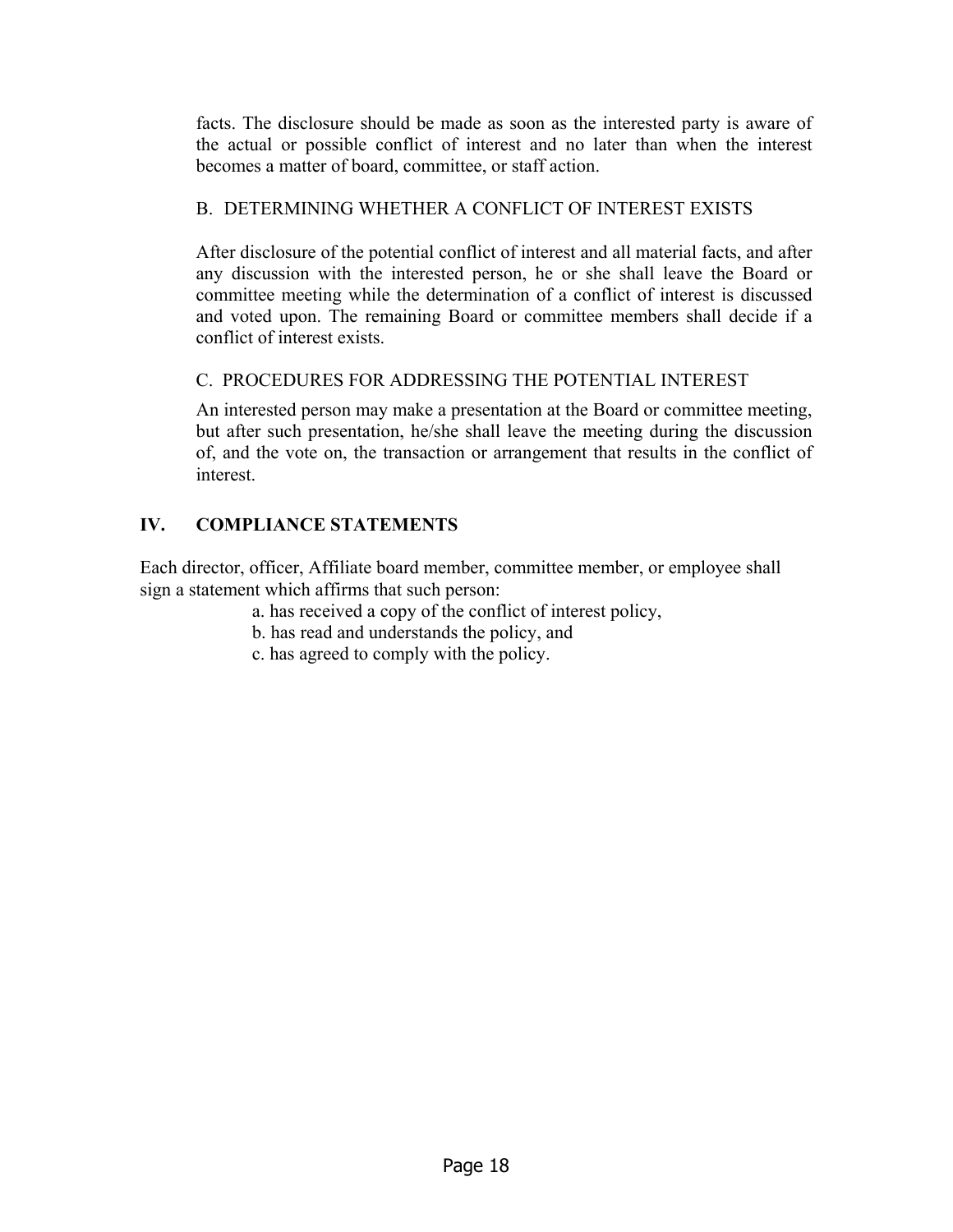facts. The disclosure should be made as soon as the interested party is aware of the actual or possible conflict of interest and no later than when the interest becomes a matter of board, committee, or staff action.

# B. DETERMINING WHETHER A CONFLICT OF INTEREST EXISTS

After disclosure of the potential conflict of interest and all material facts, and after any discussion with the interested person, he or she shall leave the Board or committee meeting while the determination of a conflict of interest is discussed and voted upon. The remaining Board or committee members shall decide if a conflict of interest exists.

# C. PROCEDURES FOR ADDRESSING THE POTENTIAL INTEREST

An interested person may make a presentation at the Board or committee meeting, but after such presentation, he/she shall leave the meeting during the discussion of, and the vote on, the transaction or arrangement that results in the conflict of interest.

# **IV. COMPLIANCE STATEMENTS**

Each director, officer, Affiliate board member, committee member, or employee shall sign a statement which affirms that such person:

- a. has received a copy of the conflict of interest policy,
- b. has read and understands the policy, and
- c. has agreed to comply with the policy.